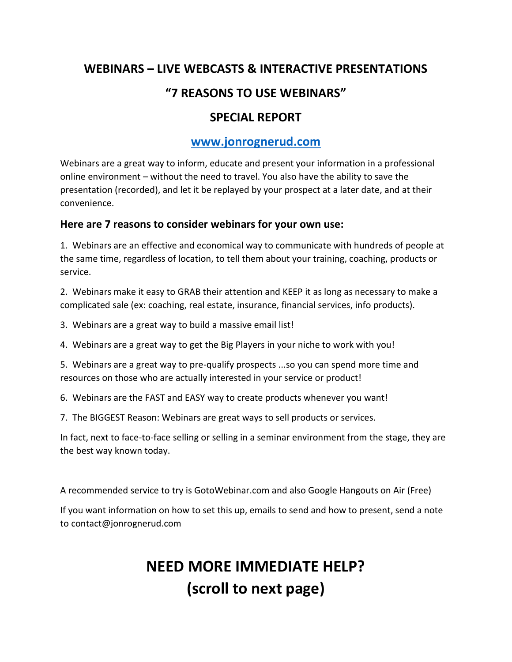## **WEBINARS – LIVE WEBCASTS & INTERACTIVE PRESENTATIONS "7 REASONS TO USE WEBINARS"**

## **SPECIAL REPORT**

#### **[www.jonrognerud.com](http://www.jonrognerud.com/)**

Webinars are a great way to inform, educate and present your information in a professional online environment – without the need to travel. You also have the ability to save the presentation (recorded), and let it be replayed by your prospect at a later date, and at their convenience.

#### **Here are 7 reasons to consider webinars for your own use:**

1. Webinars are an effective and economical way to communicate with hundreds of people at the same time, regardless of location, to tell them about your training, coaching, products or service.

2. Webinars make it easy to GRAB their attention and KEEP it as long as necessary to make a complicated sale (ex: coaching, real estate, insurance, financial services, info products).

3. Webinars are a great way to build a massive email list!

4. Webinars are a great way to get the Big Players in your niche to work with you!

5. Webinars are a great way to pre-qualify prospects ...so you can spend more time and resources on those who are actually interested in your service or product!

6. Webinars are the FAST and EASY way to create products whenever you want!

7. The BIGGEST Reason: Webinars are great ways to sell products or services.

In fact, next to face-to-face selling or selling in a seminar environment from the stage, they are the best way known today.

A recommended service to try is GotoWebinar.com and also Google Hangouts on Air (Free)

If you want information on how to set this up, emails to send and how to present, send a note to contact@jonrognerud.com

# **NEED MORE IMMEDIATE HELP? (scroll to next page)**